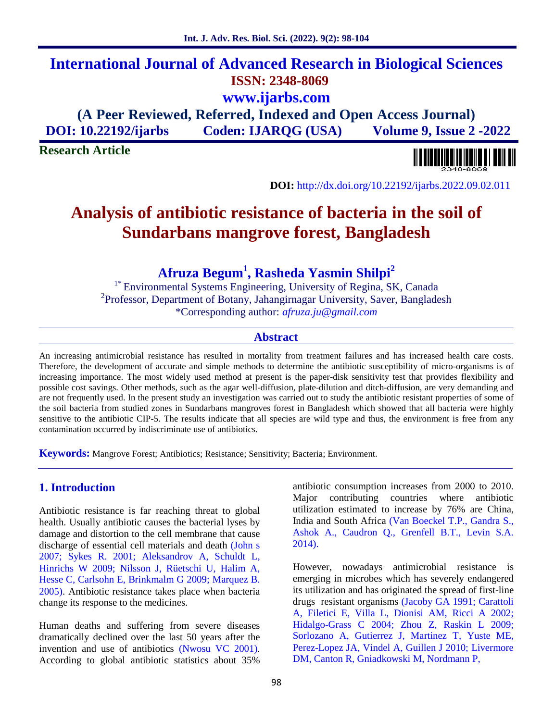# **International Journal of Advanced Research in Biological Sciences ISSN: 2348-8069 www.ijarbs.com**

**(A Peer Reviewed, Referred, Indexed and Open Access Journal) DOI: 10.22192/ijarbs Coden: IJARQG (USA) Volume 9, Issue 2 -2022**

**Research Article**



**DOI:** http://dx.doi.org/10.22192/ijarbs.2022.09.02.011

# **Analysis of antibiotic resistance of bacteria in the soil of Sundarbans mangrove forest, Bangladesh**

**Afruza Begum<sup>1</sup> , Rasheda Yasmin Shilpi<sup>2</sup>**

<sup>1\*</sup> Environmental Systems Engineering, University of Regina, SK, Canada <sup>2</sup>Professor, Department of Botany, Jahangirnagar University, Saver, Bangladesh \*Corresponding author: *afruza.ju@gmail.com*

## **Abstract**

An increasing antimicrobial resistance has resulted in mortality from treatment failures and has increased health care costs. Therefore, the development of accurate and simple methods to determine the antibiotic susceptibility of micro-organisms is of increasing importance. The most widely used method at present is the paper-disk sensitivity test that provides flexibility and possible cost savings. Other methods, such as the agar well-diffusion, plate-dilution and ditch-diffusion, are very demanding and are not frequently used. In the present study an investigation was carried out to study the antibiotic resistant properties of some of the soil bacteria from studied zones in Sundarbans mangroves forest in Bangladesh which showed that all bacteria were highly sensitive to the antibiotic CIP-5. The results indicate that all species are wild type and thus, the environment is free from any contamination occurred by indiscriminate use of antibiotics.

**Keywords:** Mangrove Forest; Antibiotics; Resistance; Sensitivity; Bacteria; Environment.

# **1. Introduction**

Antibiotic resistance is far reaching threat to global health. Usually antibiotic causes the bacterial lyses by damage and distortion to the cell membrane that cause discharge of essential cell materials and death (John s 2007; Sykes R. 2001; Aleksandrov A, Schuldt L, Hinrichs W 2009; Nilsson J, Rüetschi U, Halim A, Hesse C, Carlsohn E, Brinkmalm G 2009; Marquez B. 2005). Antibiotic resistance takes place when bacteria change its response to the medicines.

Human deaths and suffering from severe diseases dramatically declined over the last 50 years after the invention and use of antibiotics (Nwosu VC 2001). According to global antibiotic statistics about 35%

antibiotic consumption increases from 2000 to 2010. Major contributing countries where antibiotic utilization estimated to increase by 76% are China, India and South Africa (Van Boeckel T.P., Gandra S., Ashok A., Caudron Q., Grenfell B.T., Levin S.A. 2014).

However, nowadays antimicrobial resistance is emerging in microbes which has severely endangered its utilization and has originated the spread of first-line drugs resistant organisms (Jacoby GA 1991; Carattoli A, Filetici E, Villa L, Dionisi AM, Ricci A 2002; Hidalgo-Grass C 2004; Zhou Z, Raskin L 2009; Sorlozano A, Gutierrez J, Martinez T, Yuste ME, Perez-Lopez JA, Vindel A, Guillen J 2010; Livermore DM, Canton R, Gniadkowski M, Nordmann P,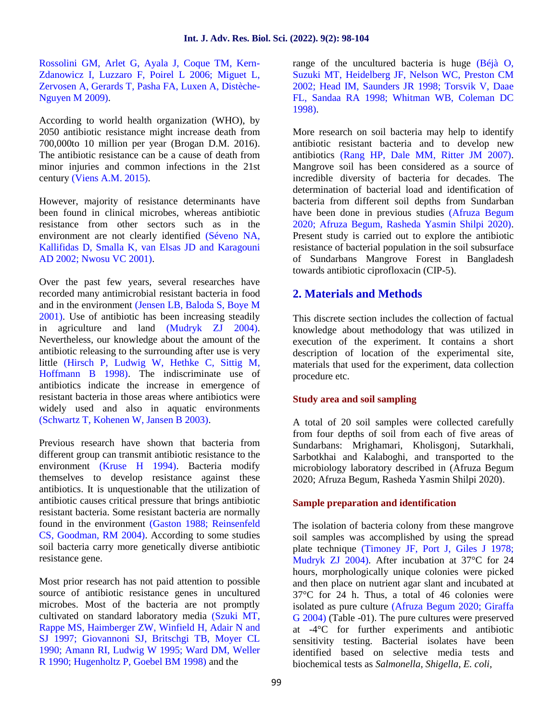Rossolini GM, Arlet G, Ayala J, Coque TM, Kern- Zdanowicz I, Luzzaro F, Poirel L 2006; Miguet L, Zervosen A, Gerards T, Pasha FA, Luxen A, Distèche- Nguyen M 2009).

According to world health organization (WHO), by 2050 antibiotic resistance might increase death from 700,000to 10 million per year (Brogan D.M. 2016). The antibiotic resistance can be a cause of death from minor injuries and common infections in the 21st century (Viens A.M. 2015).

However, majority of resistance determinants have been found in clinical microbes, whereas antibiotic resistance from other sectors such as in the environment are not clearly identified (Séveno NA, Kallifidas D, Smalla K, van Elsas JD and Karagouni AD 2002; Nwosu VC 2001).

Over the past few years, several researches have recorded many antimicrobial resistant bacteria in food and in the environment (Jensen LB, Baloda S, Boye M 2001). Use of antibiotic has been increasing steadily in agriculture and land (Mudryk ZJ 2004). Nevertheless, our knowledge about the amount of the antibiotic releasing to the surrounding after use is very little (Hirsch P, Ludwig W, Hethke C, Sittig M, Hoffmann B 1998). The indiscriminate use of antibiotics indicate the increase in emergence of resistant bacteria in those areas where antibiotics were widely used and also in aquatic environments (Schwartz T, Kohenen W, Jansen B 2003).

Previous research have shown that bacteria from different group can transmit antibiotic resistance to the environment (Kruse H 1994). Bacteria modify themselves to develop resistance against these antibiotics. It is unquestionable that the utilization of antibiotic causes critical pressure that brings antibiotic resistant bacteria. Some resistant bacteria are normally found in the environment (Gaston 1988; Reinsenfeld CS, Goodman, RM 2004). According to some studies soil bacteria carry more genetically diverse antibiotic resistance gene.

Most prior research has not paid attention to possible source of antibiotic resistance genes in uncultured microbes. Most of the bacteria are not promptly cultivated on standard laboratory media (Szuki MT, Rappe MS, Haimberger ZW, Winfield H, Adair N and SJ 1997; Giovannoni SJ, Britschgi TB, Moyer CL 1990; Amann RI, Ludwig W 1995; Ward DM, Weller R 1990; Hugenholtz P, Goebel BM 1998) and the

range of the uncultured bacteria is huge (Béjà O, Suzuki MT, Heidelberg JF, Nelson WC, Preston CM 2002; Head IM, Saunders JR 1998; Torsvik V, Daae FL, Sandaa RA 1998; Whitman WB, Coleman DC 1998).

More research on soil bacteria may help to identify antibiotic resistant bacteria and to develop new antibiotics (Rang HP, Dale MM, Ritter JM 2007). Mangrove soil has been considered as a source of incredible diversity of bacteria for decades. The determination of bacterial load and identification of bacteria from different soil depths from Sundarban have been done in previous studies (Afruza Begum 2020; Afruza Begum, Rasheda Yasmin Shilpi 2020). Present study is carried out to explore the antibiotic resistance of bacterial population in the soil subsurface of Sundarbans Mangrove Forest in Bangladesh towards antibiotic ciprofloxacin (CIP-5).

# **2. Materials and Methods**

This discrete section includes the collection of factual knowledge about methodology that was utilized in execution of the experiment. It contains a short description of location of the experimental site, materials that used for the experiment, data collection procedure etc.

### **Study area and soil sampling**

A total of 20 soil samples were collected carefully from four depths of soil from each of five areas of Sundarbans: Mrighamari, Kholisgonj, Sutarkhali, Sarbotkhai and Kalaboghi, and transported to the microbiology laboratory described in (Afruza Begum 2020; Afruza Begum, Rasheda Yasmin Shilpi 2020).

### **Sample preparation and identification**

The isolation of bacteria colony from these mangrove soil samples was accomplished by using the spread plate technique (Timoney JF, Port J, Giles J 1978; Mudryk ZJ 2004). After incubation at 37°C for 24 hours, morphologically unique colonies were picked and then place on nutrient agar slant and incubated at 37°C for 24 h. Thus, a total of 46 colonies were isolated as pure culture (Afruza Begum 2020; Giraffa G 2004) (Table -01). The pure cultures were preserved at -4°C for further experiments and antibiotic sensitivity testing. Bacterial isolates have been identified based on selective media tests and biochemical tests as *Salmonella, Shigella, E. coli,*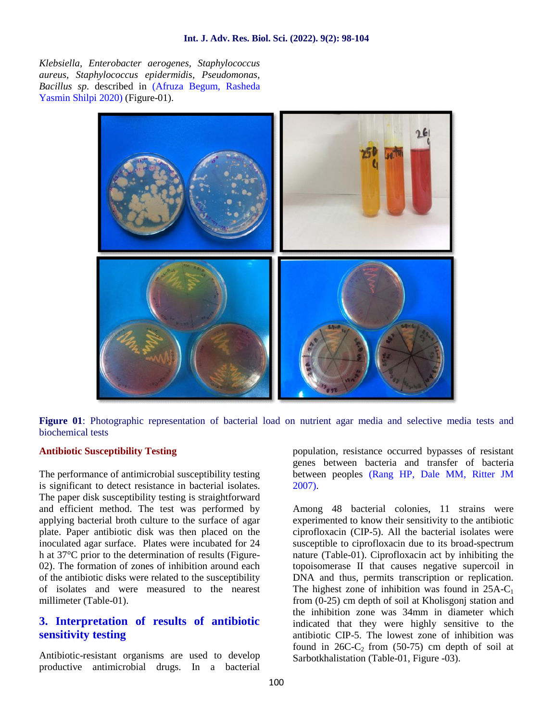*Klebsiella, Enterobacter aerogenes, Staphylococcus aureus, Staphylococcus epidermidis, Pseudomonas, Bacillus sp*. described in (Afruza Begum, Rasheda Yasmin Shilpi 2020) (Figure-01).



**Figure 01**: Photographic representation of bacterial load on nutrient agar media and selective media tests and biochemical tests

#### **Antibiotic Susceptibility Testing**

The performance of antimicrobial susceptibility testing is significant to detect resistance in bacterial isolates. The paper disk susceptibility testing is straightforward and efficient method. The test was performed by applying bacterial broth culture to the surface of agar plate. Paper antibiotic disk was then placed on the inoculated agar surface. Plates were incubated for 24 h at 37°C prior to the determination of results (Figure- 02). The formation of zones of inhibition around each of the antibiotic disks were related to the susceptibility of isolates and were measured to the nearest millimeter (Table-01).

# **3. Interpretation of results of antibiotic sensitivity testing**

Antibiotic-resistant organisms are used to develop productive antimicrobial drugs. In a bacterial population, resistance occurred bypasses of resistant genes between bacteria and transfer of bacteria between peoples (Rang HP, Dale MM, Ritter JM 2007).

Among 48 bacterial colonies, 11 strains were experimented to know their sensitivity to the antibiotic ciprofloxacin (CIP-5). All the bacterial isolates were susceptible to ciprofloxacin due to its broad-spectrum nature (Table-01). Ciprofloxacin act by inhibiting the topoisomerase II that causes negative supercoil in DNA and thus, permits transcription or replication. The highest zone of inhibition was found in  $25A-C_1$ from (0-25) cm depth of soil at Kholisgonj station and the inhibition zone was 34mm in diameter which indicated that they were highly sensitive to the antibiotic CIP-5. The lowest zone of inhibition was found in  $26C-C_2$  from (50-75) cm depth of soil at Sarbotkhalistation (Table-01, Figure -03).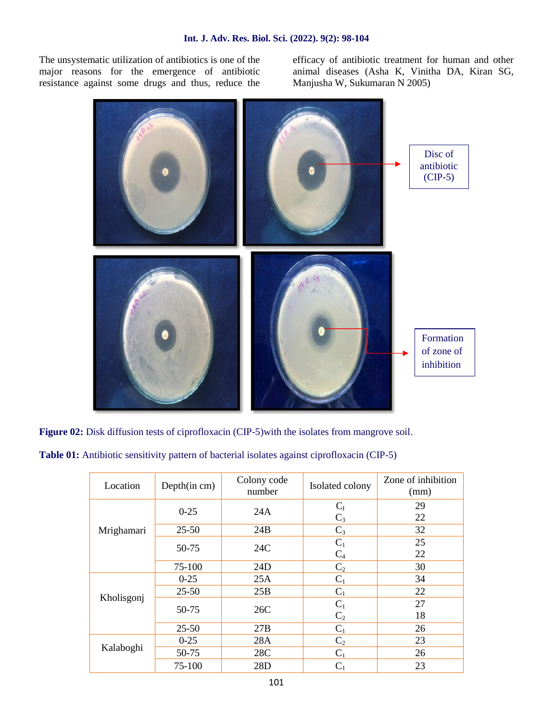The unsystematic utilization of antibiotics is one of the major reasons for the emergence of antibiotic resistance against some drugs and thus, reduce the

efficacy of antibiotic treatment for human and other animal diseases (Asha K, Vinitha DA, Kiran SG, Manjusha W, Sukumaran N 2005)



**Figure 02:** Disk diffusion tests of ciprofloxacin (CIP-5)with the isolates from mangrove soil.

|  |  | Table 01: Antibiotic sensitivity pattern of bacterial isolates against ciprofloxacin (CIP-5) |  |
|--|--|----------------------------------------------------------------------------------------------|--|
|--|--|----------------------------------------------------------------------------------------------|--|

| Location   | Depth(in cm) | Colony code<br>number | Isolated colony         | Zone of inhibition<br>(mm) |
|------------|--------------|-----------------------|-------------------------|----------------------------|
| Mrighamari | $0 - 25$     | 24A                   | $C_I$<br>$C_3$          | 29<br>22                   |
|            | $25 - 50$    | 24B                   | $C_3$                   | 32                         |
|            | 50-75        | 24C                   | $C_1$<br>$C_4$          | 25<br>22                   |
|            | 75-100       | 24D                   | C <sub>2</sub>          | 30                         |
| Kholisgonj | $0-25$       | 25A                   | $C_1$                   | 34                         |
|            | $25 - 50$    | 25B                   | $C_1$                   | 22                         |
|            | 50-75        | 26C                   | $C_1$<br>C <sub>2</sub> | 27<br>18                   |
|            | $25 - 50$    | 27B                   | $C_1$                   | 26                         |
| Kalaboghi  | $0 - 25$     | 28A                   | $\mathrm{C}_2$          | 23                         |
|            | 50-75        | 28C                   | $C_1$                   | 26                         |
|            | 75-100       | 28D                   | $\rm C_1$               | 23                         |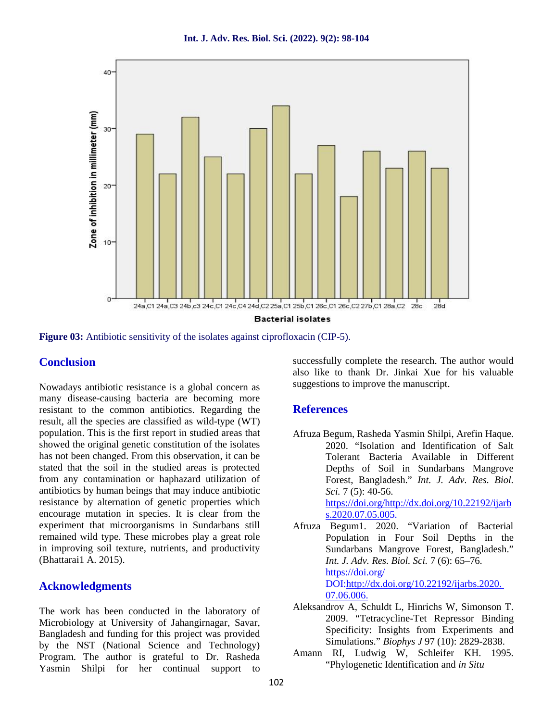

**Figure 03:** Antibiotic sensitivity of the isolates against ciprofloxacin (CIP-5).

## **Conclusion**

Nowadays antibiotic resistance is a global concern as many disease-causing bacteria are becoming more resistant to the common antibiotics. Regarding the result, all the species are classified as wild-type (WT) population. This is the first report in studied areas that showed the original genetic constitution of the isolates has not been changed. From this observation, it can be stated that the soil in the studied areas is protected from any contamination or haphazard utilization of antibiotics by human beings that may induce antibiotic resistance by alternation of genetic properties which encourage mutation in species. It is clear from the experiment that microorganisms in Sundarbans still remained wild type. These microbes play a great role in improving soil texture, nutrients, and productivity (Bhattarai1 A. 2015).

## **Acknowledgments**

The work has been conducted in the laboratory of Microbiology at University of Jahangirnagar, Savar, Bangladesh and funding for this project was provided by the NST (National Science and Technology) Program. The author is grateful to Dr. Rasheda Yasmin Shilpi for her continual support to successfully complete the research. The author would also like to thank Dr. Jinkai Xue for his valuable suggestions to improve the manuscript.

# **References**

Afruza Begum, Rasheda Yasmin Shilpi, Arefin Haque. 2020. "Isolation and Identification of Salt Tolerant Bacteria Available in Different Depths of Soil in Sundarbans Mangrove Forest, Bangladesh." *Int. J. Adv. Res. Biol. Sci.* 7 (5): 40-56.

https://doi.org/http://dx.doi.org/10.22192/ijarb s.2020.07.05.005.

- Afruza Begum1. 2020. "Variation of Bacterial Population in Four Soil Depths in the Sundarbans Mangrove Forest, Bangladesh." *Int. J. Adv. Res. Biol. Sci.* 7 (6): 65–76. https://doi.org/ DOI:http://dx.doi.org/10.22192/ijarbs.2020. 07.06.006.
- Aleksandrov A, Schuldt L, Hinrichs W, Simonson T. 2009. "Tetracycline-Tet Repressor Binding Specificity: Insights from Experiments and Simulations." *Biophys J* 97 (10): 2829-2838.
- Amann RI, Ludwig W, Schleifer KH. 1995. "Phylogenetic Identification and *in Situ*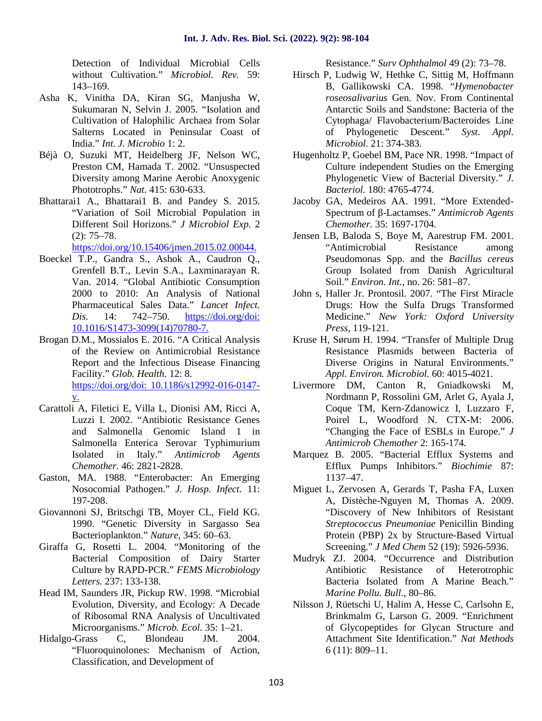Detection of Individual Microbial Cells without Cultivation." *Microbiol. Rev.* 59: 143–169.

- Asha K, Vinitha DA, Kiran SG, Manjusha W, Sukumaran N, Selvin J. 2005. "Isolation and Cultivation of Halophilic Archaea from Solar Salterns Located in Peninsular Coast of India." *Int. J. Microbio* 1: 2.
- Béjà O, Suzuki MT, Heidelberg JF, Nelson WC, Preston CM, Hamada T. 2002. "Unsuspected Diversity among Marine Aerobic Anoxygenic Phototrophs." *Nat.* 415: 630-633.
- Bhattarai1 A., Bhattarai1 B. and Pandey S. 2015. "Variation of Soil Microbial Population in Different Soil Horizons." *J Microbiol Exp.* 2 (2): 75–78.

https://doi.org/10.15406/jmen.2015.02.00044.

- Boeckel T.P., Gandra S., Ashok A., Caudron Q., Grenfell B.T., Levin S.A., Laxminarayan R. Van. 2014. "Global Antibiotic Consumption 2000 to 2010: An Analysis of National Pharmaceutical Sales Data." *Lancet Infect. Dis.* 14: 742–750. https://doi.org/doi: 10.1016/S1473-3099(14)70780-7.
- Brogan D.M., Mossialos E. 2016. "A Critical Analysis of the Review on Antimicrobial Resistance Report and the Infectious Disease Financing Facility." *Glob. Health.* 12: 8. https://doi.org/doi: 10.1186/s12992-016-0147 y.
- Carattoli A, Filetici E, Villa L, Dionisi AM, Ricci A, Luzzi I. 2002. "Antibiotic Resistance Genes and Salmonella Genomic Island 1 in Salmonella Enterica Serovar Typhimurium Isolated in Italy." *Antimicrob Agents Chemother.* 46: 2821-2828.
- Gaston, MA. 1988. "Enterobacter: An Emerging Nosocomial Pathogen." *J. Hosp. Infect.* 11: 197-208.
- Giovannoni SJ, Britschgi TB, Moyer CL, Field KG. 1990. "Genetic Diversity in Sargasso Sea Bacterioplankton." *Nature,* 345: 60–63.
- Giraffa G, Rosetti L. 2004. "Monitoring of the Bacterial Composition of Dairy Starter Culture by RAPD-PCR." *FEMS Microbiology Letters.* 237: 133-138.
- Head IM, Saunders JR, Pickup RW. 1998. "Microbial Evolution, Diversity, and Ecology: A Decade of Ribosomal RNA Analysis of Uncultivated Microorganisms." *Microb. Ecol.* 35: 1–21.<br>-Grass C. Blondeau J.M. 2004.
- Hidalgo-Grass C, Blondeau JM. "Fluoroquinolones: Mechanism of Action, Classification, and Development of

Resistance." *Surv Ophthalmol* 49 (2): 73–78.

- Hirsch P, Ludwig W, Hethke C, Sittig M, Hoffmann B, Gallikowski CA. 1998. "*Hymenobacter roseosalivarius* Gen. Nov. From Continental Antarctic Soils and Sandstone: Bacteria of the Cytophaga/ Flavobacterium/Bacteroides Line of Phylogenetic Descent." *Syst. Appl. Microbiol.* 21: 374-383.
- Hugenholtz P, Goebel BM, Pace NR. 1998. "Impact of Culture independent Studies on the Emerging Phylogenetic View of Bacterial Diversity." *J. Bacteriol.* 180: 4765-4774.
- Jacoby GA, Medeiros AA. 1991. "More Extended- Spectrum of -Lactamses." *Antimicrob Agents Chemother.* 35: 1697-1704.
- Jensen LB, Baloda S, Boye M, Aarestrup FM. 2001. "Antimicrobial Resistance among Pseudomonas Spp. and the *Bacillus cereus* Group Isolated from Danish Agricultural Soil." *Environ. Int.*, no. 26: 581–87.
- John s, Haller Jr. Prontosil. 2007. "The First Miracle Drugs: How the Sulfa Drugs Transformed Medicine." *New York: Oxford University Press,* 119-121.
- Kruse H, Sørum H. 1994. "Transfer of Multiple Drug Resistance Plasmids between Bacteria of Diverse Origins in Natural Environments." *Appl. Environ. Microbiol.* 60: 4015-4021.
- Livermore DM, Canton R, Gniadkowski M, Nordmann P, Rossolini GM, Arlet G, Ayala J, Coque TM, Kern-Zdanowicz I, Luzzaro F, Poirel L, Woodford N. CTX-M: 2006. "Changing the Face of ESBLs in Europe." *J Antimicrob Chemother* 2: 165-174.
- Marquez B. 2005. "Bacterial Efflux Systems and Efflux Pumps Inhibitors." *Biochimie* 87: 1137–47.
- Miguet L, Zervosen A, Gerards T, Pasha FA, Luxen A, Distèche-Nguyen M, Thomas A. 2009. "Discovery of New Inhibitors of Resistant *Streptococcus Pneumoniae* Penicillin Binding Protein (PBP) 2x by Structure-Based Virtual Screening." *J Med Chem* 52 (19): 5926-5936.
- Mudryk ZJ. 2004. "Occurrence and Distribution Antibiotic Resistance of Heterotrophic Bacteria Isolated from A Marine Beach." *Marine Pollu. Bull.*, 80–86.
- Nilsson J, Rüetschi U, Halim A, Hesse C, Carlsohn E, Brinkmalm G, Larson G. 2009. "Enrichment of Glycopeptides for Glycan Structure and Attachment Site Identification." *Nat Methods* 6 (11): 809–11.